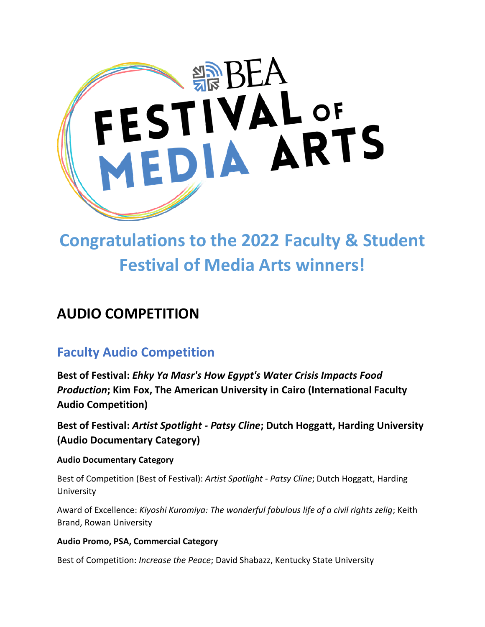

# **Congratulations to the 2022 Faculty & Student Festival of Media Arts winners!**

# **AUDIO COMPETITION**

# **Faculty Audio Competition**

**Best of Festival:** *Ehky Ya Masr's How Egypt's Water Crisis Impacts Food Production***; Kim Fox, The American University in Cairo (International Faculty Audio Competition)**

**Best of Festival:** *Artist Spotlight - Patsy Cline***; Dutch Hoggatt, Harding University (Audio Documentary Category)**

#### **Audio Documentary Category**

Best of Competition (Best of Festival): *Artist Spotlight - Patsy Cline*; Dutch Hoggatt, Harding University

Award of Excellence: *Kiyoshi Kuromiya: The wonderful fabulous life of a civil rights zelig*; Keith Brand, Rowan University

#### **Audio Promo, PSA, Commercial Category**

Best of Competition: *Increase the Peace*; David Shabazz, Kentucky State University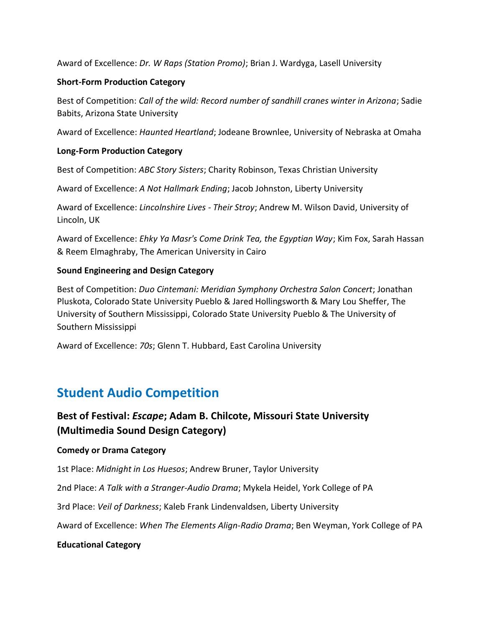Award of Excellence: *Dr. W Raps (Station Promo)*; Brian J. Wardyga, Lasell University

#### **Short-Form Production Category**

Best of Competition: *Call of the wild: Record number of sandhill cranes winter in Arizona*; Sadie Babits, Arizona State University

Award of Excellence: *Haunted Heartland*; Jodeane Brownlee, University of Nebraska at Omaha

#### **Long-Form Production Category**

Best of Competition: *ABC Story Sisters*; Charity Robinson, Texas Christian University

Award of Excellence: *A Not Hallmark Ending*; Jacob Johnston, Liberty University

Award of Excellence: *Lincolnshire Lives - Their Stroy*; Andrew M. Wilson David, University of Lincoln, UK

Award of Excellence: *Ehky Ya Masr's Come Drink Tea, the Egyptian Way*; Kim Fox, Sarah Hassan & Reem Elmaghraby, The American University in Cairo

#### **Sound Engineering and Design Category**

Best of Competition: *Duo Cintemani: Meridian Symphony Orchestra Salon Concert*; Jonathan Pluskota, Colorado State University Pueblo & Jared Hollingsworth & Mary Lou Sheffer, The University of Southern Mississippi, Colorado State University Pueblo & The University of Southern Mississippi

Award of Excellence: *70s*; Glenn T. Hubbard, East Carolina University

### **Student Audio Competition**

### **Best of Festival:** *Escape***; Adam B. Chilcote, Missouri State University (Multimedia Sound Design Category)**

#### **Comedy or Drama Category**

1st Place: *Midnight in Los Huesos*; Andrew Bruner, Taylor University

2nd Place: *A Talk with a Stranger-Audio Drama*; Mykela Heidel, York College of PA

3rd Place: *Veil of Darkness*; Kaleb Frank Lindenvaldsen, Liberty University

Award of Excellence: *When The Elements Align-Radio Drama*; Ben Weyman, York College of PA

#### **Educational Category**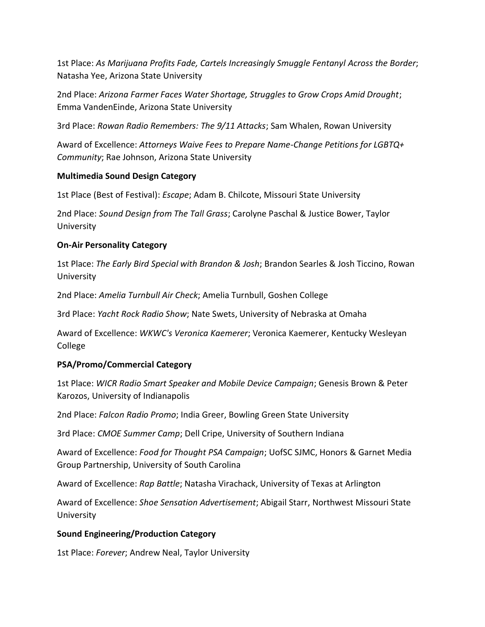1st Place: *As Marijuana Profits Fade, Cartels Increasingly Smuggle Fentanyl Across the Border*; Natasha Yee, Arizona State University

2nd Place: *Arizona Farmer Faces Water Shortage, Struggles to Grow Crops Amid Drought*; Emma VandenEinde, Arizona State University

3rd Place: *Rowan Radio Remembers: The 9/11 Attacks*; Sam Whalen, Rowan University

Award of Excellence: *Attorneys Waive Fees to Prepare Name-Change Petitions for LGBTQ+ Community*; Rae Johnson, Arizona State University

#### **Multimedia Sound Design Category**

1st Place (Best of Festival): *Escape*; Adam B. Chilcote, Missouri State University

2nd Place: *Sound Design from The Tall Grass*; Carolyne Paschal & Justice Bower, Taylor University

#### **On-Air Personality Category**

1st Place: *The Early Bird Special with Brandon & Josh*; Brandon Searles & Josh Ticcino, Rowan University

2nd Place: *Amelia Turnbull Air Check*; Amelia Turnbull, Goshen College

3rd Place: *Yacht Rock Radio Show*; Nate Swets, University of Nebraska at Omaha

Award of Excellence: *WKWC's Veronica Kaemerer*; Veronica Kaemerer, Kentucky Wesleyan College

#### **PSA/Promo/Commercial Category**

1st Place: *WICR Radio Smart Speaker and Mobile Device Campaign*; Genesis Brown & Peter Karozos, University of Indianapolis

2nd Place: *Falcon Radio Promo*; India Greer, Bowling Green State University

3rd Place: *CMOE Summer Camp*; Dell Cripe, University of Southern Indiana

Award of Excellence: *Food for Thought PSA Campaign*; UofSC SJMC, Honors & Garnet Media Group Partnership, University of South Carolina

Award of Excellence: *Rap Battle*; Natasha Virachack, University of Texas at Arlington

Award of Excellence: *Shoe Sensation Advertisement*; Abigail Starr, Northwest Missouri State University

#### **Sound Engineering/Production Category**

1st Place: *Forever*; Andrew Neal, Taylor University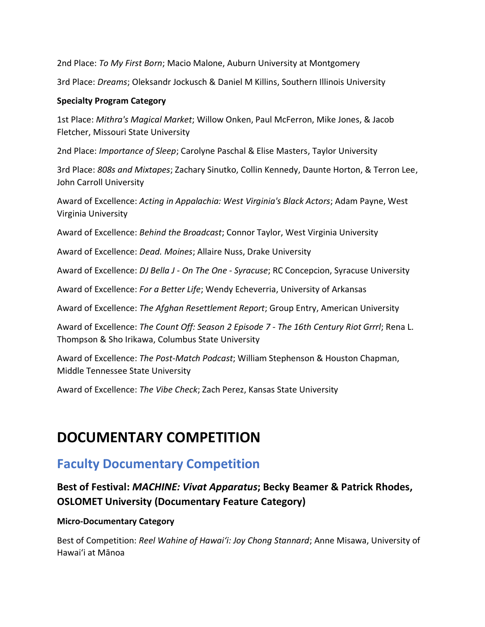2nd Place: *To My First Born*; Macio Malone, Auburn University at Montgomery

3rd Place: *Dreams*; Oleksandr Jockusch & Daniel M Killins, Southern Illinois University

#### **Specialty Program Category**

1st Place: *Mithra's Magical Market*; Willow Onken, Paul McFerron, Mike Jones, & Jacob Fletcher, Missouri State University

2nd Place: *Importance of Sleep*; Carolyne Paschal & Elise Masters, Taylor University

3rd Place: *808s and Mixtapes*; Zachary Sinutko, Collin Kennedy, Daunte Horton, & Terron Lee, John Carroll University

Award of Excellence: *Acting in Appalachia: West Virginia's Black Actors*; Adam Payne, West Virginia University

Award of Excellence: *Behind the Broadcast*; Connor Taylor, West Virginia University

Award of Excellence: *Dead. Moines*; Allaire Nuss, Drake University

Award of Excellence: *DJ Bella J - On The One - Syracuse*; RC Concepcion, Syracuse University

Award of Excellence: *For a Better Life*; Wendy Echeverria, University of Arkansas

Award of Excellence: *The Afghan Resettlement Report*; Group Entry, American University

Award of Excellence: *The Count Off: Season 2 Episode 7 - The 16th Century Riot Grrrl*; Rena L. Thompson & Sho Irikawa, Columbus State University

Award of Excellence: *The Post-Match Podcast*; William Stephenson & Houston Chapman, Middle Tennessee State University

Award of Excellence: *The Vibe Check*; Zach Perez, Kansas State University

# **DOCUMENTARY COMPETITION**

### **Faculty Documentary Competition**

### **Best of Festival:** *MACHINE: Vivat Apparatus***; Becky Beamer & Patrick Rhodes, OSLOMET University (Documentary Feature Category)**

#### **Micro-Documentary Category**

Best of Competition: *Reel Wahine of Hawaiʻi: Joy Chong Stannard*; Anne Misawa, University of Hawaiʻi at Mānoa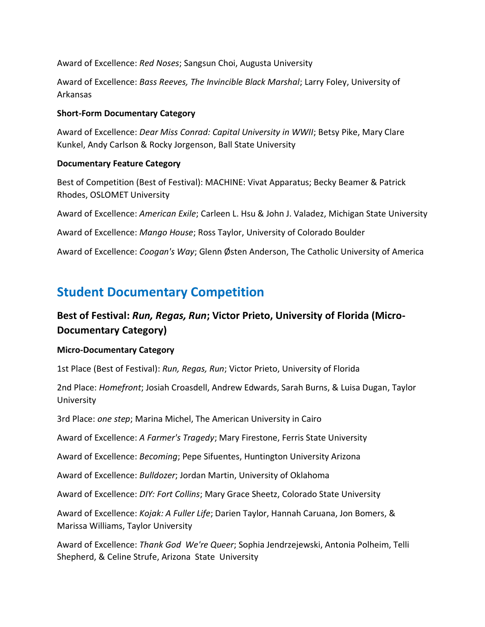Award of Excellence: *Red Noses*; Sangsun Choi, Augusta University

Award of Excellence: *Bass Reeves, The Invincible Black Marshal*; Larry Foley, University of Arkansas

#### **Short-Form Documentary Category**

Award of Excellence: *Dear Miss Conrad: Capital University in WWII*; Betsy Pike, Mary Clare Kunkel, Andy Carlson & Rocky Jorgenson, Ball State University

#### **Documentary Feature Category**

Best of Competition (Best of Festival): MACHINE: Vivat Apparatus; Becky Beamer & Patrick Rhodes, OSLOMET University

Award of Excellence: *American Exile*; Carleen L. Hsu & John J. Valadez, Michigan State University

Award of Excellence: *Mango House*; Ross Taylor, University of Colorado Boulder

Award of Excellence: *Coogan's Way*; Glenn Østen Anderson, The Catholic University of America

### **Student Documentary Competition**

### **Best of Festival:** *Run, Regas, Run***; Victor Prieto, University of Florida (Micro-Documentary Category)**

#### **Micro-Documentary Category**

1st Place (Best of Festival): *Run, Regas, Run*; Victor Prieto, University of Florida

2nd Place: *Homefront*; Josiah Croasdell, Andrew Edwards, Sarah Burns, & Luisa Dugan, Taylor University

3rd Place: *one step*; Marina Michel, The American University in Cairo

Award of Excellence: *A Farmer's Tragedy*; Mary Firestone, Ferris State University

Award of Excellence: *Becoming*; Pepe Sifuentes, Huntington University Arizona

Award of Excellence: *Bulldozer*; Jordan Martin, University of Oklahoma

Award of Excellence: *DIY: Fort Collins*; Mary Grace Sheetz, Colorado State University

Award of Excellence: *Kojak: A Fuller Life*; Darien Taylor, Hannah Caruana, Jon Bomers, & Marissa Williams, Taylor University

Award of Excellence: *Thank God We're Queer*; Sophia Jendrzejewski, Antonia Polheim, Telli Shepherd, & Celine Strufe, Arizona State University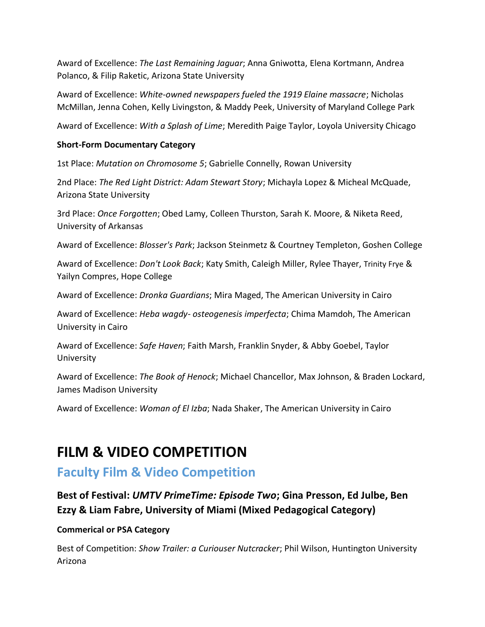Award of Excellence: *The Last Remaining Jaguar*; Anna Gniwotta, Elena Kortmann, Andrea Polanco, & Filip Raketic, Arizona State University

Award of Excellence: *White-owned newspapers fueled the 1919 Elaine massacre*; Nicholas McMillan, Jenna Cohen, Kelly Livingston, & Maddy Peek, University of Maryland College Park

Award of Excellence: *With a Splash of Lime*; Meredith Paige Taylor, Loyola University Chicago

#### **Short-Form Documentary Category**

1st Place: *Mutation on Chromosome 5*; Gabrielle Connelly, Rowan University

2nd Place: *The Red Light District: Adam Stewart Story*; Michayla Lopez & Micheal McQuade, Arizona State University

3rd Place: *Once Forgotten*; Obed Lamy, Colleen Thurston, Sarah K. Moore, & Niketa Reed, University of Arkansas

Award of Excellence: *Blosser's Park*; Jackson Steinmetz & Courtney Templeton, Goshen College

Award of Excellence: *Don't Look Back*; Katy Smith, Caleigh Miller, Rylee Thayer, Trinity Frye & Yailyn Compres, Hope College

Award of Excellence: *Dronka Guardians*; Mira Maged, The American University in Cairo

Award of Excellence: *Heba wagdy- osteogenesis imperfecta*; Chima Mamdoh, The American University in Cairo

Award of Excellence: *Safe Haven*; Faith Marsh, Franklin Snyder, & Abby Goebel, Taylor University

Award of Excellence: *The Book of Henock*; Michael Chancellor, Max Johnson, & Braden Lockard, James Madison University

Award of Excellence: *Woman of El Izba*; Nada Shaker, The American University in Cairo

# **FILM & VIDEO COMPETITION**

### **Faculty Film & Video Competition**

**Best of Festival:** *UMTV PrimeTime: Episode Two***; Gina Presson, Ed Julbe, Ben Ezzy & Liam Fabre, University of Miami (Mixed Pedagogical Category)**

#### **Commerical or PSA Category**

Best of Competition: *Show Trailer: a Curiouser Nutcracker*; Phil Wilson, Huntington University Arizona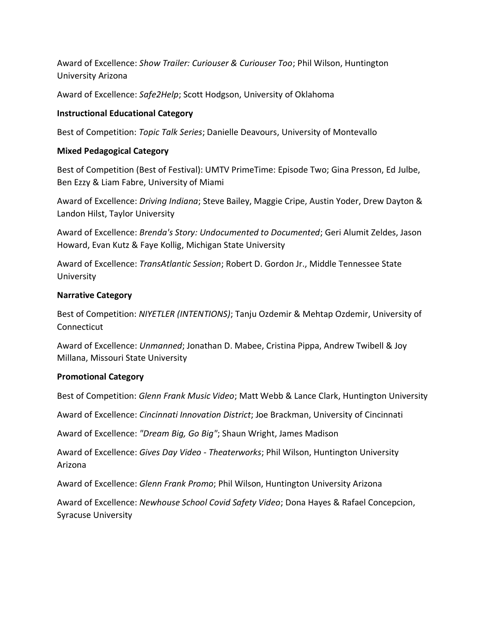Award of Excellence: *Show Trailer: Curiouser & Curiouser Too*; Phil Wilson, Huntington University Arizona

Award of Excellence: *Safe2Help*; Scott Hodgson, University of Oklahoma

#### **Instructional Educational Category**

Best of Competition: *Topic Talk Series*; Danielle Deavours, University of Montevallo

#### **Mixed Pedagogical Category**

Best of Competition (Best of Festival): UMTV PrimeTime: Episode Two; Gina Presson, Ed Julbe, Ben Ezzy & Liam Fabre, University of Miami

Award of Excellence: *Driving Indiana*; Steve Bailey, Maggie Cripe, Austin Yoder, Drew Dayton & Landon Hilst, Taylor University

Award of Excellence: *Brenda's Story: Undocumented to Documented*; Geri Alumit Zeldes, Jason Howard, Evan Kutz & Faye Kollig, Michigan State University

Award of Excellence: *TransAtlantic Session*; Robert D. Gordon Jr., Middle Tennessee State University

#### **Narrative Category**

Best of Competition: *NIYETLER (INTENTIONS)*; Tanju Ozdemir & Mehtap Ozdemir, University of Connecticut

Award of Excellence: *Unmanned*; Jonathan D. Mabee, Cristina Pippa, Andrew Twibell & Joy Millana, Missouri State University

#### **Promotional Category**

Best of Competition: *Glenn Frank Music Video*; Matt Webb & Lance Clark, Huntington University

Award of Excellence: *Cincinnati Innovation District*; Joe Brackman, University of Cincinnati

Award of Excellence: *"Dream Big, Go Big"*; Shaun Wright, James Madison

Award of Excellence: *Gives Day Video - Theaterworks*; Phil Wilson, Huntington University Arizona

Award of Excellence: *Glenn Frank Promo*; Phil Wilson, Huntington University Arizona

Award of Excellence: *Newhouse School Covid Safety Video*; Dona Hayes & Rafael Concepcion, Syracuse University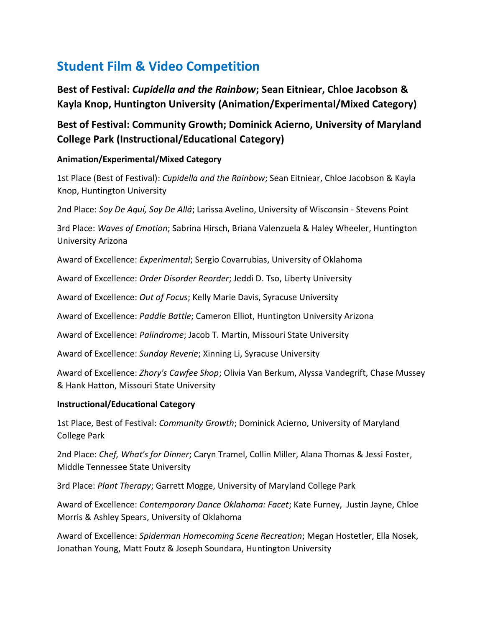# **Student Film & Video Competition**

**Best of Festival:** *Cupidella and the Rainbow***; Sean Eitniear, Chloe Jacobson & Kayla Knop, Huntington University (Animation/Experimental/Mixed Category)**

### **Best of Festival: Community Growth; Dominick Acierno, University of Maryland College Park (Instructional/Educational Category)**

#### **Animation/Experimental/Mixed Category**

1st Place (Best of Festival): *Cupidella and the Rainbow*; Sean Eitniear, Chloe Jacobson & Kayla Knop, Huntington University

2nd Place: *Soy De Aquí, Soy De Allá*; Larissa Avelino, University of Wisconsin - Stevens Point

3rd Place: *Waves of Emotion*; Sabrina Hirsch, Briana Valenzuela & Haley Wheeler, Huntington University Arizona

Award of Excellence: *Experimental*; Sergio Covarrubias, University of Oklahoma

Award of Excellence: *Order Disorder Reorder*; Jeddi D. Tso, Liberty University

Award of Excellence: *Out of Focus*; Kelly Marie Davis, Syracuse University

Award of Excellence: *Paddle Battle*; Cameron Elliot, Huntington University Arizona

Award of Excellence: *Palindrome*; Jacob T. Martin, Missouri State University

Award of Excellence: *Sunday Reverie*; Xinning Li, Syracuse University

Award of Excellence: *Zhory's Cawfee Shop*; Olivia Van Berkum, Alyssa Vandegrift, Chase Mussey & Hank Hatton, Missouri State University

#### **Instructional/Educational Category**

1st Place, Best of Festival: *Community Growth*; Dominick Acierno, University of Maryland College Park

2nd Place: *Chef, What's for Dinner*; Caryn Tramel, Collin Miller, Alana Thomas & Jessi Foster, Middle Tennessee State University

3rd Place: *Plant Therapy*; Garrett Mogge, University of Maryland College Park

Award of Excellence: *Contemporary Dance Oklahoma: Facet*; Kate Furney, Justin Jayne, Chloe Morris & Ashley Spears, University of Oklahoma

Award of Excellence: *Spiderman Homecoming Scene Recreation*; Megan Hostetler, Ella Nosek, Jonathan Young, Matt Foutz & Joseph Soundara, Huntington University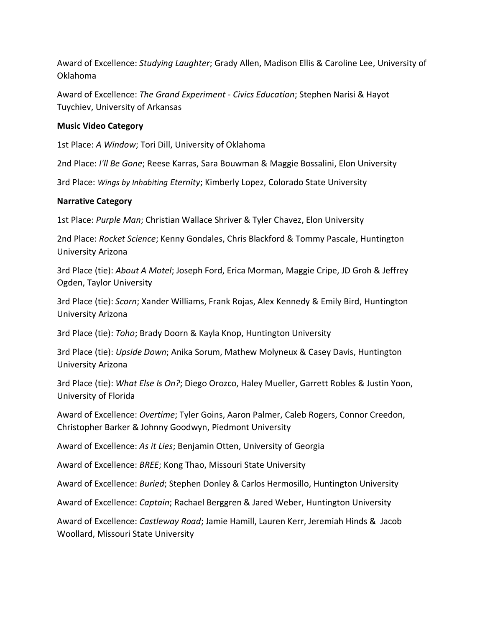Award of Excellence: *Studying Laughter*; Grady Allen, Madison Ellis & Caroline Lee, University of Oklahoma

Award of Excellence: *The Grand Experiment - Civics Education*; Stephen Narisi & Hayot Tuychiev, University of Arkansas

#### **Music Video Category**

1st Place: *A Window*; Tori Dill, University of Oklahoma

2nd Place: *I'll Be Gone*; Reese Karras, Sara Bouwman & Maggie Bossalini, Elon University

3rd Place: *Wings by Inhabiting Eternity*; Kimberly Lopez, Colorado State University

#### **Narrative Category**

1st Place: *Purple Man*; Christian Wallace Shriver & Tyler Chavez, Elon University

2nd Place: *Rocket Science*; Kenny Gondales, Chris Blackford & Tommy Pascale, Huntington University Arizona

3rd Place (tie): *About A Motel*; Joseph Ford, Erica Morman, Maggie Cripe, JD Groh & Jeffrey Ogden, Taylor University

3rd Place (tie): *Scorn*; Xander Williams, Frank Rojas, Alex Kennedy & Emily Bird, Huntington University Arizona

3rd Place (tie): *Toho*; Brady Doorn & Kayla Knop, Huntington University

3rd Place (tie): *Upside Down*; Anika Sorum, Mathew Molyneux & Casey Davis, Huntington University Arizona

3rd Place (tie): *What Else Is On?*; Diego Orozco, Haley Mueller, Garrett Robles & Justin Yoon, University of Florida

Award of Excellence: *Overtime*; Tyler Goins, Aaron Palmer, Caleb Rogers, Connor Creedon, Christopher Barker & Johnny Goodwyn, Piedmont University

Award of Excellence: *As it Lies*; Benjamin Otten, University of Georgia

Award of Excellence: *BREE*; Kong Thao, Missouri State University

Award of Excellence: *Buried*; Stephen Donley & Carlos Hermosillo, Huntington University

Award of Excellence: *Captain*; Rachael Berggren & Jared Weber, Huntington University

Award of Excellence: *Castleway Road*; Jamie Hamill, Lauren Kerr, Jeremiah Hinds & Jacob Woollard, Missouri State University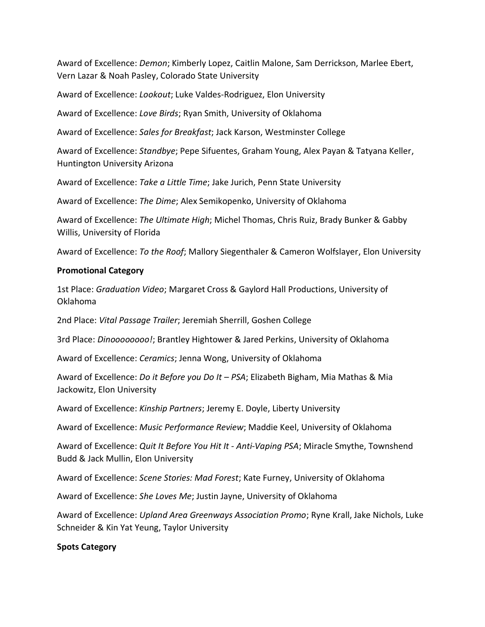Award of Excellence: *Demon*; Kimberly Lopez, Caitlin Malone, Sam Derrickson, Marlee Ebert, Vern Lazar & Noah Pasley, Colorado State University

Award of Excellence: *Lookout*; Luke Valdes-Rodriguez, Elon University

Award of Excellence: *Love Birds*; Ryan Smith, University of Oklahoma

Award of Excellence: *Sales for Breakfast*; Jack Karson, Westminster College

Award of Excellence: *Standbye*; Pepe Sifuentes, Graham Young, Alex Payan & Tatyana Keller, Huntington University Arizona

Award of Excellence: *Take a Little Time*; Jake Jurich, Penn State University

Award of Excellence: *The Dime*; Alex Semikopenko, University of Oklahoma

Award of Excellence: *The Ultimate High*; Michel Thomas, Chris Ruiz, Brady Bunker & Gabby Willis, University of Florida

Award of Excellence: *To the Roof*; Mallory Siegenthaler & Cameron Wolfslayer, Elon University

#### **Promotional Category**

1st Place: *Graduation Video*; Margaret Cross & Gaylord Hall Productions, University of Oklahoma

2nd Place: *Vital Passage Trailer*; Jeremiah Sherrill, Goshen College

3rd Place: *Dinoooooooo!*; Brantley Hightower & Jared Perkins, University of Oklahoma

Award of Excellence: *Ceramics*; Jenna Wong, University of Oklahoma

Award of Excellence: *Do it Before you Do It – PSA*; Elizabeth Bigham, Mia Mathas & Mia Jackowitz, Elon University

Award of Excellence: *Kinship Partners*; Jeremy E. Doyle, Liberty University

Award of Excellence: *Music Performance Review*; Maddie Keel, University of Oklahoma

Award of Excellence: *Quit It Before You Hit It - Anti-Vaping PSA*; Miracle Smythe, Townshend Budd & Jack Mullin, Elon University

Award of Excellence: *Scene Stories: Mad Forest*; Kate Furney, University of Oklahoma

Award of Excellence: *She Loves Me*; Justin Jayne, University of Oklahoma

Award of Excellence: *Upland Area Greenways Association Promo*; Ryne Krall, Jake Nichols, Luke Schneider & Kin Yat Yeung, Taylor University

#### **Spots Category**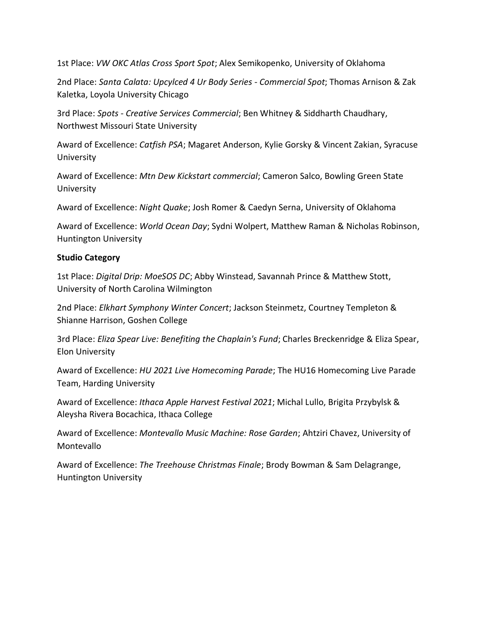1st Place: *VW OKC Atlas Cross Sport Spot*; Alex Semikopenko, University of Oklahoma

2nd Place: *Santa Calata: Upcylced 4 Ur Body Series - Commercial Spot*; Thomas Arnison & Zak Kaletka, Loyola University Chicago

3rd Place: *Spots - Creative Services Commercial*; Ben Whitney & Siddharth Chaudhary, Northwest Missouri State University

Award of Excellence: *Catfish PSA*; Magaret Anderson, Kylie Gorsky & Vincent Zakian, Syracuse University

Award of Excellence: *Mtn Dew Kickstart commercial*; Cameron Salco, Bowling Green State University

Award of Excellence: *Night Quake*; Josh Romer & Caedyn Serna, University of Oklahoma

Award of Excellence: *World Ocean Day*; Sydni Wolpert, Matthew Raman & Nicholas Robinson, Huntington University

#### **Studio Category**

1st Place: *Digital Drip: MoeSOS DC*; Abby Winstead, Savannah Prince & Matthew Stott, University of North Carolina Wilmington

2nd Place: *Elkhart Symphony Winter Concert*; Jackson Steinmetz, Courtney Templeton & Shianne Harrison, Goshen College

3rd Place: *Eliza Spear Live: Benefiting the Chaplain's Fund*; Charles Breckenridge & Eliza Spear, Elon University

Award of Excellence: *HU 2021 Live Homecoming Parade*; The HU16 Homecoming Live Parade Team, Harding University

Award of Excellence: *Ithaca Apple Harvest Festival 2021*; Michal Lullo, Brigita Przybylsk & Aleysha Rivera Bocachica, Ithaca College

Award of Excellence: *Montevallo Music Machine: Rose Garden*; Ahtziri Chavez, University of Montevallo

Award of Excellence: *The Treehouse Christmas Finale*; Brody Bowman & Sam Delagrange, Huntington University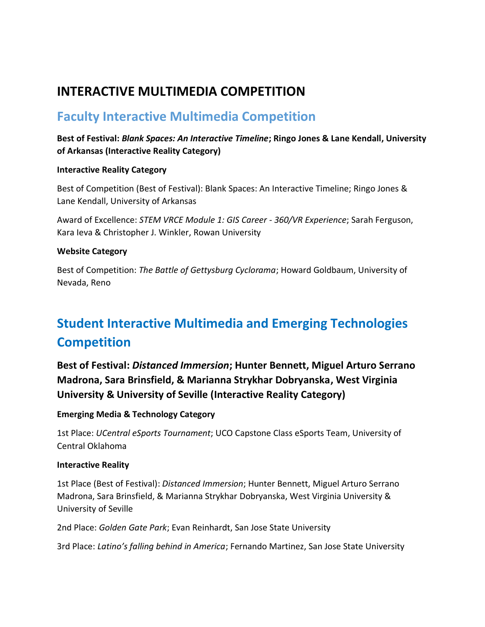### **INTERACTIVE MULTIMEDIA COMPETITION**

### **Faculty Interactive Multimedia Competition**

#### **Best of Festival:** *Blank Spaces: An Interactive Timeline***; Ringo Jones & Lane Kendall, University of Arkansas (Interactive Reality Category)**

#### **Interactive Reality Category**

Best of Competition (Best of Festival): Blank Spaces: An Interactive Timeline; Ringo Jones & Lane Kendall, University of Arkansas

Award of Excellence: *STEM VRCE Module 1: GIS Career - 360/VR Experience*; Sarah Ferguson, Kara Ieva & Christopher J. Winkler, Rowan University

#### **Website Category**

Best of Competition: *The Battle of Gettysburg Cyclorama*; Howard Goldbaum, University of Nevada, Reno

# **Student Interactive Multimedia and Emerging Technologies Competition**

**Best of Festival:** *Distanced Immersion***; Hunter Bennett, Miguel Arturo Serrano Madrona, Sara Brinsfield, & Marianna Strykhar Dobryanska, West Virginia University & University of Seville (Interactive Reality Category)**

**Emerging Media & Technology Category**

1st Place: *UCentral eSports Tournament*; UCO Capstone Class eSports Team, University of Central Oklahoma

#### **Interactive Reality**

1st Place (Best of Festival): *Distanced Immersion*; Hunter Bennett, Miguel Arturo Serrano Madrona, Sara Brinsfield, & Marianna Strykhar Dobryanska, West Virginia University & University of Seville

2nd Place: *Golden Gate Park*; Evan Reinhardt, San Jose State University

3rd Place: *Latino's falling behind in America*; Fernando Martinez, San Jose State University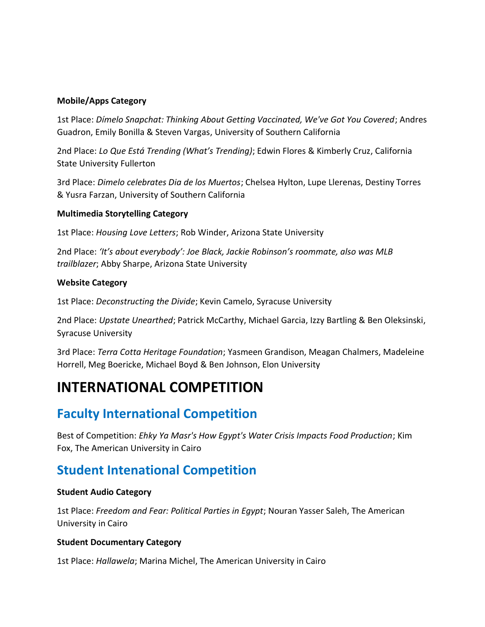#### **Mobile/Apps Category**

1st Place: *Dímelo Snapchat: Thinking About Getting Vaccinated, We've Got You Covered*; Andres Guadron, Emily Bonilla & Steven Vargas, University of Southern California

2nd Place: *Lo Que Está Trending (What's Trending)*; Edwin Flores & Kimberly Cruz, California State University Fullerton

3rd Place: *Dimelo celebrates Dia de los Muertos*; Chelsea Hylton, Lupe Llerenas, Destiny Torres & Yusra Farzan, University of Southern California

#### **Multimedia Storytelling Category**

1st Place: *Housing Love Letters*; Rob Winder, Arizona State University

2nd Place: *'It's about everybody': Joe Black, Jackie Robinson's roommate, also was MLB trailblazer*; Abby Sharpe, Arizona State University

#### **Website Category**

1st Place: *Deconstructing the Divide*; Kevin Camelo, Syracuse University

2nd Place: *Upstate Unearthed*; Patrick McCarthy, Michael Garcia, Izzy Bartling & Ben Oleksinski, Syracuse University

3rd Place: *Terra Cotta Heritage Foundation*; Yasmeen Grandison, Meagan Chalmers, Madeleine Horrell, Meg Boericke, Michael Boyd & Ben Johnson, Elon University

# **INTERNATIONAL COMPETITION**

### **Faculty International Competition**

Best of Competition: *Ehky Ya Masr's How Egypt's Water Crisis Impacts Food Production*; Kim Fox, The American University in Cairo

### **Student Intenational Competition**

#### **Student Audio Category**

1st Place: *Freedom and Fear: Political Parties in Egypt*; Nouran Yasser Saleh, The American University in Cairo

#### **Student Documentary Category**

1st Place: *Hallawela*; Marina Michel, The American University in Cairo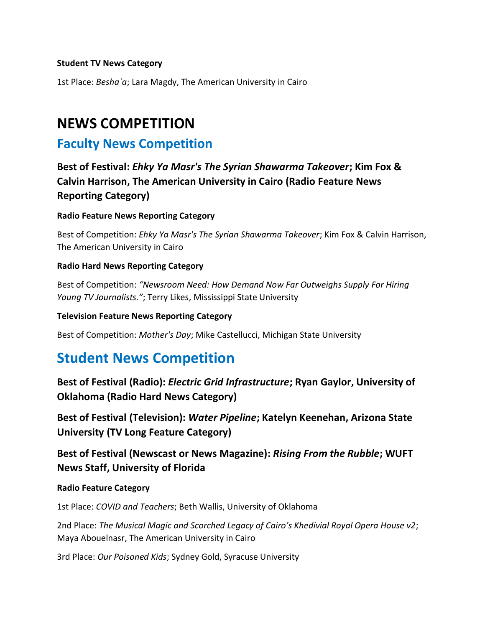#### **Student TV News Category**

1st Place: *Besha`a*; Lara Magdy, The American University in Cairo

# **NEWS COMPETITION**

### **Faculty News Competition**

**Best of Festival:** *Ehky Ya Masr's The Syrian Shawarma Takeover***; Kim Fox & Calvin Harrison, The American University in Cairo (Radio Feature News Reporting Category)**

#### **Radio Feature News Reporting Category**

Best of Competition: *Ehky Ya Masr's The Syrian Shawarma Takeover*; Kim Fox & Calvin Harrison, The American University in Cairo

#### **Radio Hard News Reporting Category**

Best of Competition: *"Newsroom Need: How Demand Now Far Outweighs Supply For Hiring Young TV Journalists."*; Terry Likes, Mississippi State University

#### **Television Feature News Reporting Category**

Best of Competition: *Mother's Day*; Mike Castellucci, Michigan State University

### **Student News Competition**

**Best of Festival (Radio):** *Electric Grid Infrastructure***; Ryan Gaylor, University of Oklahoma (Radio Hard News Category)**

**Best of Festival (Television):** *Water Pipeline***; Katelyn Keenehan, Arizona State University (TV Long Feature Category)**

### **Best of Festival (Newscast or News Magazine):** *Rising From the Rubble***; WUFT News Staff, University of Florida**

#### **Radio Feature Category**

1st Place: *COVID and Teachers*; Beth Wallis, University of Oklahoma

2nd Place: *The Musical Magic and Scorched Legacy of Cairo's Khedivial Royal Opera House v2*; Maya Abouelnasr, The American University in Cairo

3rd Place: *Our Poisoned Kids*; Sydney Gold, Syracuse University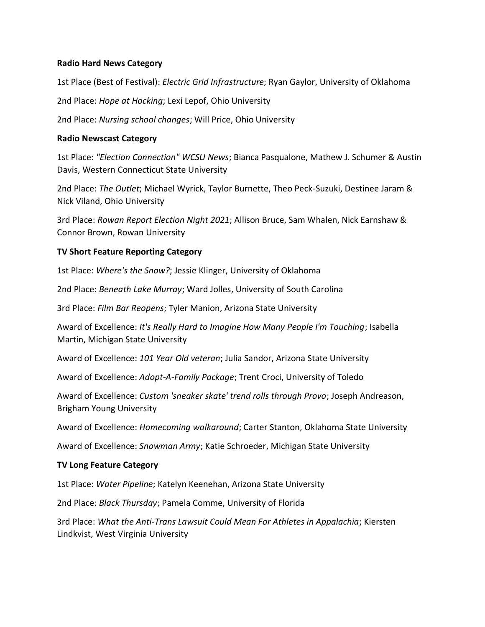#### **Radio Hard News Category**

1st Place (Best of Festival): *Electric Grid Infrastructure*; Ryan Gaylor, University of Oklahoma

2nd Place: *Hope at Hocking*; Lexi Lepof, Ohio University

2nd Place: *Nursing school changes*; Will Price, Ohio University

#### **Radio Newscast Category**

1st Place: *"Election Connection" WCSU News*; Bianca Pasqualone, Mathew J. Schumer & Austin Davis, Western Connecticut State University

2nd Place: *The Outlet*; Michael Wyrick, Taylor Burnette, Theo Peck-Suzuki, Destinee Jaram & Nick Viland, Ohio University

3rd Place: *Rowan Report Election Night 2021*; Allison Bruce, Sam Whalen, Nick Earnshaw & Connor Brown, Rowan University

#### **TV Short Feature Reporting Category**

1st Place: *Where's the Snow?*; Jessie Klinger, University of Oklahoma

2nd Place: *Beneath Lake Murray*; Ward Jolles, University of South Carolina

3rd Place: *Film Bar Reopens*; Tyler Manion, Arizona State University

Award of Excellence: *It's Really Hard to Imagine How Many People I'm Touching*; Isabella Martin, Michigan State University

Award of Excellence: *101 Year Old veteran*; Julia Sandor, Arizona State University

Award of Excellence: *Adopt-A-Family Package*; Trent Croci, University of Toledo

Award of Excellence: *Custom 'sneaker skate' trend rolls through Provo*; Joseph Andreason, Brigham Young University

Award of Excellence: *Homecoming walkaround*; Carter Stanton, Oklahoma State University

Award of Excellence: *Snowman Army*; Katie Schroeder, Michigan State University

#### **TV Long Feature Category**

1st Place: *Water Pipeline*; Katelyn Keenehan, Arizona State University

2nd Place: *Black Thursday*; Pamela Comme, University of Florida

3rd Place: *What the Anti-Trans Lawsuit Could Mean For Athletes in Appalachia*; Kiersten Lindkvist, West Virginia University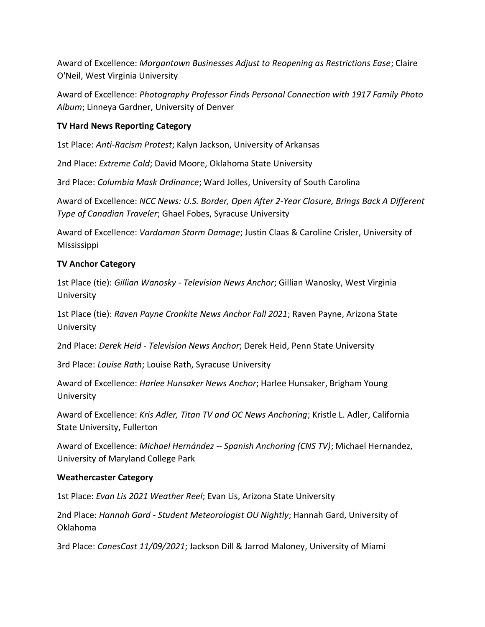Award of Excellence: *Morgantown Businesses Adjust to Reopening as Restrictions Ease*; Claire O'Neil, West Virginia University

Award of Excellence: *Photography Professor Finds Personal Connection with 1917 Family Photo Album*; Linneya Gardner, University of Denver

#### **TV Hard News Reporting Category**

1st Place: *Anti-Racism Protest*; Kalyn Jackson, University of Arkansas

2nd Place: *Extreme Cold*; David Moore, Oklahoma State University

3rd Place: *Columbia Mask Ordinance*; Ward Jolles, University of South Carolina

Award of Excellence: *NCC News: U.S. Border, Open After 2-Year Closure, Brings Back A Different Type of Canadian Traveler*; Ghael Fobes, Syracuse University

Award of Excellence: *Vardaman Storm Damage*; Justin Claas & Caroline Crisler, University of Mississippi

#### **TV Anchor Category**

1st Place (tie): *Gillian Wanosky - Television News Anchor*; Gillian Wanosky, West Virginia University

1st Place (tie): *Raven Payne Cronkite News Anchor Fall 2021*; Raven Payne, Arizona State University

2nd Place: *Derek Heid - Television News Anchor*; Derek Heid, Penn State University

3rd Place: *Louise Rath*; Louise Rath, Syracuse University

Award of Excellence: *Harlee Hunsaker News Anchor*; Harlee Hunsaker, Brigham Young University

Award of Excellence: *Kris Adler, Titan TV and OC News Anchoring*; Kristle L. Adler, California State University, Fullerton

Award of Excellence: *Michael Hernández -- Spanish Anchoring (CNS TV)*; Michael Hernandez, University of Maryland College Park

#### **Weathercaster Category**

1st Place: *Evan Lis 2021 Weather Reel*; Evan Lis, Arizona State University

2nd Place: *Hannah Gard - Student Meteorologist OU Nightly*; Hannah Gard, University of Oklahoma

3rd Place: *CanesCast 11/09/2021*; Jackson Dill & Jarrod Maloney, University of Miami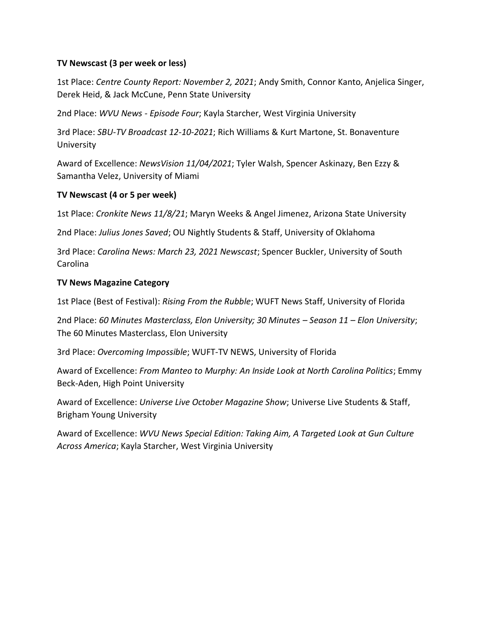#### **TV Newscast (3 per week or less)**

1st Place: *Centre County Report: November 2, 2021*; Andy Smith, Connor Kanto, Anjelica Singer, Derek Heid, & Jack McCune, Penn State University

2nd Place: *WVU News - Episode Four*; Kayla Starcher, West Virginia University

3rd Place: *SBU-TV Broadcast 12-10-2021*; Rich Williams & Kurt Martone, St. Bonaventure University

Award of Excellence: *NewsVision 11/04/2021*; Tyler Walsh, Spencer Askinazy, Ben Ezzy & Samantha Velez, University of Miami

#### **TV Newscast (4 or 5 per week)**

1st Place: *Cronkite News 11/8/21*; Maryn Weeks & Angel Jimenez, Arizona State University

2nd Place: *Julius Jones Saved*; OU Nightly Students & Staff, University of Oklahoma

3rd Place: *Carolina News: March 23, 2021 Newscast*; Spencer Buckler, University of South Carolina

#### **TV News Magazine Category**

1st Place (Best of Festival): *Rising From the Rubble*; WUFT News Staff, University of Florida

2nd Place: *60 Minutes Masterclass, Elon University; 30 Minutes – Season 11 – Elon University*; The 60 Minutes Masterclass, Elon University

3rd Place: *Overcoming Impossible*; WUFT-TV NEWS, University of Florida

Award of Excellence: *From Manteo to Murphy: An Inside Look at North Carolina Politics*; Emmy Beck-Aden, High Point University

Award of Excellence: *Universe Live October Magazine Show*; Universe Live Students & Staff, Brigham Young University

Award of Excellence: *WVU News Special Edition: Taking Aim, A Targeted Look at Gun Culture Across America*; Kayla Starcher, West Virginia University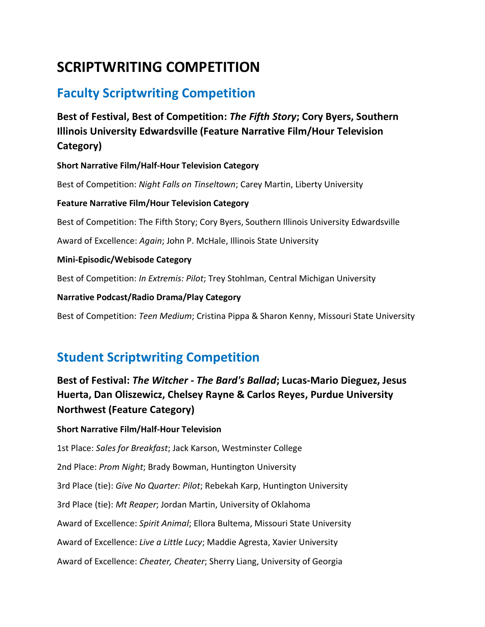# **SCRIPTWRITING COMPETITION**

## **Faculty Scriptwriting Competition**

**Best of Festival, Best of Competition:** *The Fifth Story***; Cory Byers, Southern Illinois University Edwardsville (Feature Narrative Film/Hour Television Category)**

**Short Narrative Film/Half-Hour Television Category**

Best of Competition: *Night Falls on Tinseltown*; Carey Martin, Liberty University

**Feature Narrative Film/Hour Television Category**

Best of Competition: The Fifth Story; Cory Byers, Southern Illinois University Edwardsville

Award of Excellence: *Again*; John P. McHale, Illinois State University

**Mini-Episodic/Webisode Category**

Best of Competition: *In Extremis: Pilot*; Trey Stohlman, Central Michigan University

**Narrative Podcast/Radio Drama/Play Category**

Best of Competition: *Teen Medium*; Cristina Pippa & Sharon Kenny, Missouri State University

# **Student Scriptwriting Competition**

### **Best of Festival:** *The Witcher - The Bard's Ballad***; Lucas-Mario Dieguez, Jesus Huerta, Dan Oliszewicz, Chelsey Rayne & Carlos Reyes, Purdue University Northwest (Feature Category)**

#### **Short Narrative Film/Half-Hour Television**

1st Place: *Sales for Breakfast*; Jack Karson, Westminster College 2nd Place: *Prom Night*; Brady Bowman, Huntington University 3rd Place (tie): *Give No Quarter: Pilot*; Rebekah Karp, Huntington University 3rd Place (tie): *Mt Reaper*; Jordan Martin, University of Oklahoma Award of Excellence: *Spirit Animal*; Ellora Bultema, Missouri State University Award of Excellence: *Live a Little Lucy*; Maddie Agresta, Xavier University Award of Excellence: *Cheater, Cheater*; Sherry Liang, University of Georgia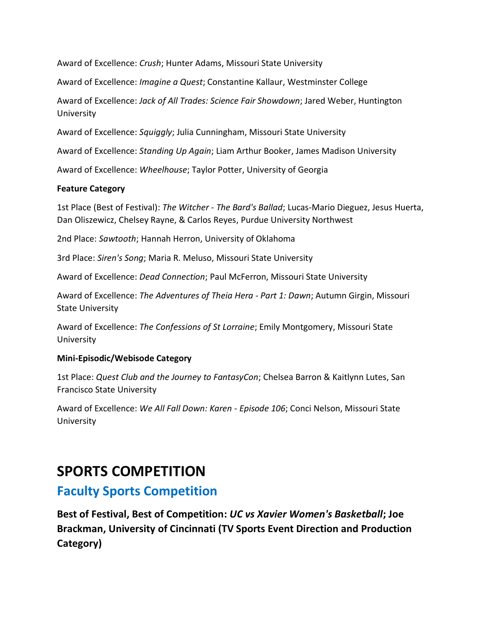Award of Excellence: *Crush*; Hunter Adams, Missouri State University

Award of Excellence: *Imagine a Quest*; Constantine Kallaur, Westminster College

Award of Excellence: *Jack of All Trades: Science Fair Showdown*; Jared Weber, Huntington University

Award of Excellence: *Squiggly*; Julia Cunningham, Missouri State University

Award of Excellence: *Standing Up Again*; Liam Arthur Booker, James Madison University

Award of Excellence: *Wheelhouse*; Taylor Potter, University of Georgia

#### **Feature Category**

1st Place (Best of Festival): *The Witcher - The Bard's Ballad*; Lucas-Mario Dieguez, Jesus Huerta, Dan Oliszewicz, Chelsey Rayne, & Carlos Reyes, Purdue University Northwest

2nd Place: *Sawtooth*; Hannah Herron, University of Oklahoma

3rd Place: *Siren's Song*; Maria R. Meluso, Missouri State University

Award of Excellence: *Dead Connection*; Paul McFerron, Missouri State University

Award of Excellence: *The Adventures of Theia Hera - Part 1: Dawn*; Autumn Girgin, Missouri State University

Award of Excellence: *The Confessions of St Lorraine*; Emily Montgomery, Missouri State University

#### **Mini-Episodic/Webisode Category**

1st Place: *Quest Club and the Journey to FantasyCon*; Chelsea Barron & Kaitlynn Lutes, San Francisco State University

Award of Excellence: *We All Fall Down: Karen - Episode 106*; Conci Nelson, Missouri State University

### **SPORTS COMPETITION**

### **Faculty Sports Competition**

**Best of Festival, Best of Competition:** *UC vs Xavier Women's Basketball***; Joe Brackman, University of Cincinnati (TV Sports Event Direction and Production Category)**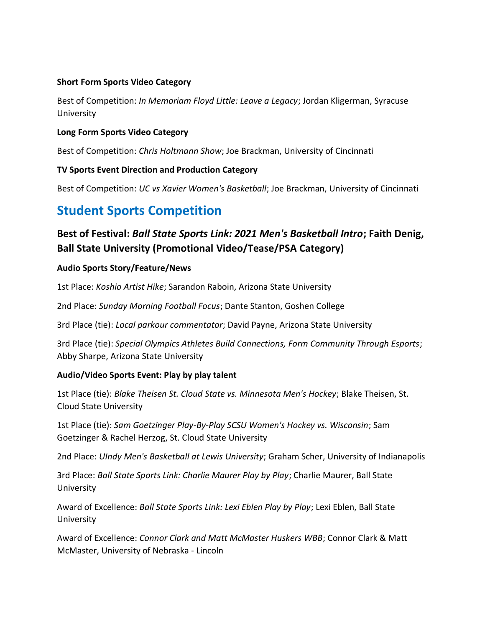#### **Short Form Sports Video Category**

Best of Competition: *In Memoriam Floyd Little: Leave a Legacy*; Jordan Kligerman, Syracuse University

#### **Long Form Sports Video Category**

Best of Competition: *Chris Holtmann Show*; Joe Brackman, University of Cincinnati

#### **TV Sports Event Direction and Production Category**

Best of Competition: *UC vs Xavier Women's Basketball*; Joe Brackman, University of Cincinnati

### **Student Sports Competition**

### **Best of Festival:** *Ball State Sports Link: 2021 Men's Basketball Intro***; Faith Denig, Ball State University (Promotional Video/Tease/PSA Category)**

#### **Audio Sports Story/Feature/News**

1st Place: *Koshio Artist Hike*; Sarandon Raboin, Arizona State University

2nd Place: *Sunday Morning Football Focus*; Dante Stanton, Goshen College

3rd Place (tie): *Local parkour commentator*; David Payne, Arizona State University

3rd Place (tie): *Special Olympics Athletes Build Connections, Form Community Through Esports*; Abby Sharpe, Arizona State University

#### **Audio/Video Sports Event: Play by play talent**

1st Place (tie): *Blake Theisen St. Cloud State vs. Minnesota Men's Hockey*; Blake Theisen, St. Cloud State University

1st Place (tie): *Sam Goetzinger Play-By-Play SCSU Women's Hockey vs. Wisconsin*; Sam Goetzinger & Rachel Herzog, St. Cloud State University

2nd Place: *UIndy Men's Basketball at Lewis University*; Graham Scher, University of Indianapolis

3rd Place: *Ball State Sports Link: Charlie Maurer Play by Play*; Charlie Maurer, Ball State University

Award of Excellence: *Ball State Sports Link: Lexi Eblen Play by Play*; Lexi Eblen, Ball State University

Award of Excellence: *Connor Clark and Matt McMaster Huskers WBB*; Connor Clark & Matt McMaster, University of Nebraska - Lincoln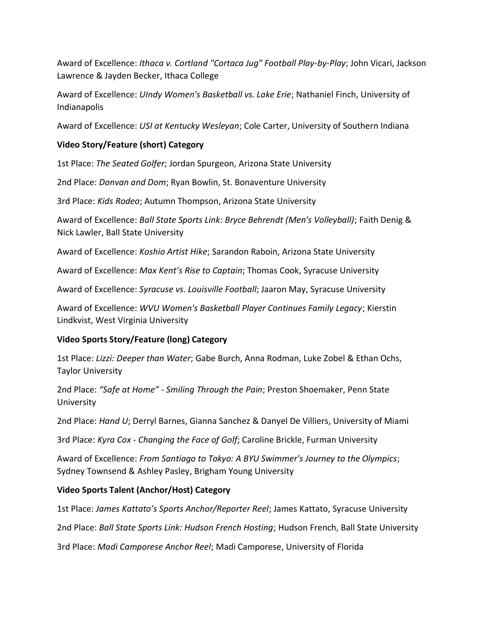Award of Excellence: *Ithaca v. Cortland "Cortaca Jug" Football Play-by-Play*; John Vicari, Jackson Lawrence & Jayden Becker, Ithaca College

Award of Excellence: *UIndy Women's Basketball vs. Lake Erie*; Nathaniel Finch, University of Indianapolis

Award of Excellence: *USI at Kentucky Wesleyan*; Cole Carter, University of Southern Indiana

#### **Video Story/Feature (short) Category**

1st Place: *The Seated Golfer*; Jordan Spurgeon, Arizona State University

2nd Place: *Donvan and Dom*; Ryan Bowlin, St. Bonaventure University

3rd Place: *Kids Rodeo*; Autumn Thompson, Arizona State University

Award of Excellence: *Ball State Sports Link: Bryce Behrendt (Men's Volleyball)*; Faith Denig & Nick Lawler, Ball State University

Award of Excellence: *Koshio Artist Hike*; Sarandon Raboin, Arizona State University

Award of Excellence: *Max Kent's Rise to Captain*; Thomas Cook, Syracuse University

Award of Excellence: *Syracuse vs. Louisville Football*; Jaaron May, Syracuse University

Award of Excellence: *WVU Women's Basketball Player Continues Family Legacy*; Kierstin Lindkvist, West Virginia University

#### **Video Sports Story/Feature (long) Category**

1st Place: *Lizzi: Deeper than Water*; Gabe Burch, Anna Rodman, Luke Zobel & Ethan Ochs, Taylor University

2nd Place: *"Safe at Home" - Smiling Through the Pain*; Preston Shoemaker, Penn State University

2nd Place: *Hand U*; Derryl Barnes, Gianna Sanchez & Danyel De Villiers, University of Miami

3rd Place: *Kyra Cox - Changing the Face of Golf*; Caroline Brickle, Furman University

Award of Excellence: *From Santiago to Tokyo: A BYU Swimmer's Journey to the Olympics*; Sydney Townsend & Ashley Pasley, Brigham Young University

#### **Video Sports Talent (Anchor/Host) Category**

1st Place: *James Kattato's Sports Anchor/Reporter Reel*; James Kattato, Syracuse University

2nd Place: *Ball State Sports Link: Hudson French Hosting*; Hudson French, Ball State University

3rd Place: *Madi Camporese Anchor Reel*; Madi Camporese, University of Florida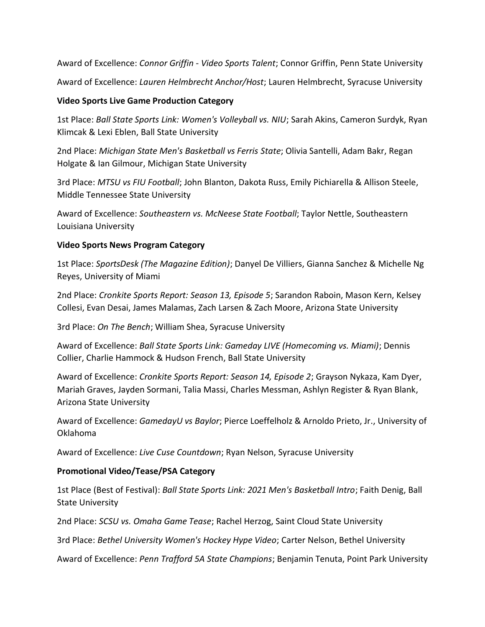Award of Excellence: *Connor Griffin - Video Sports Talent*; Connor Griffin, Penn State University Award of Excellence: *Lauren Helmbrecht Anchor/Host*; Lauren Helmbrecht, Syracuse University

#### **Video Sports Live Game Production Category**

1st Place: *Ball State Sports Link: Women's Volleyball vs. NIU*; Sarah Akins, Cameron Surdyk, Ryan Klimcak & Lexi Eblen, Ball State University

2nd Place: *Michigan State Men's Basketball vs Ferris State*; Olivia Santelli, Adam Bakr, Regan Holgate & Ian Gilmour, Michigan State University

3rd Place: *MTSU vs FIU Football*; John Blanton, Dakota Russ, Emily Pichiarella & Allison Steele, Middle Tennessee State University

Award of Excellence: *Southeastern vs. McNeese State Football*; Taylor Nettle, Southeastern Louisiana University

#### **Video Sports News Program Category**

1st Place: *SportsDesk (The Magazine Edition)*; Danyel De Villiers, Gianna Sanchez & Michelle Ng Reyes, University of Miami

2nd Place: *Cronkite Sports Report: Season 13, Episode 5*; Sarandon Raboin, Mason Kern, Kelsey Collesi, Evan Desai, James Malamas, Zach Larsen & Zach Moore, Arizona State University

3rd Place: *On The Bench*; William Shea, Syracuse University

Award of Excellence: *Ball State Sports Link: Gameday LIVE (Homecoming vs. Miami)*; Dennis Collier, Charlie Hammock & Hudson French, Ball State University

Award of Excellence: *Cronkite Sports Report: Season 14, Episode 2*; Grayson Nykaza, Kam Dyer, Mariah Graves, Jayden Sormani, Talia Massi, Charles Messman, Ashlyn Register & Ryan Blank, Arizona State University

Award of Excellence: *GamedayU vs Baylor*; Pierce Loeffelholz & Arnoldo Prieto, Jr., University of Oklahoma

Award of Excellence: *Live Cuse Countdown*; Ryan Nelson, Syracuse University

#### **Promotional Video/Tease/PSA Category**

1st Place (Best of Festival): *Ball State Sports Link: 2021 Men's Basketball Intro*; Faith Denig, Ball State University

2nd Place: *SCSU vs. Omaha Game Tease*; Rachel Herzog, Saint Cloud State University

3rd Place: *Bethel University Women's Hockey Hype Video*; Carter Nelson, Bethel University

Award of Excellence: *Penn Trafford 5A State Champions*; Benjamin Tenuta, Point Park University